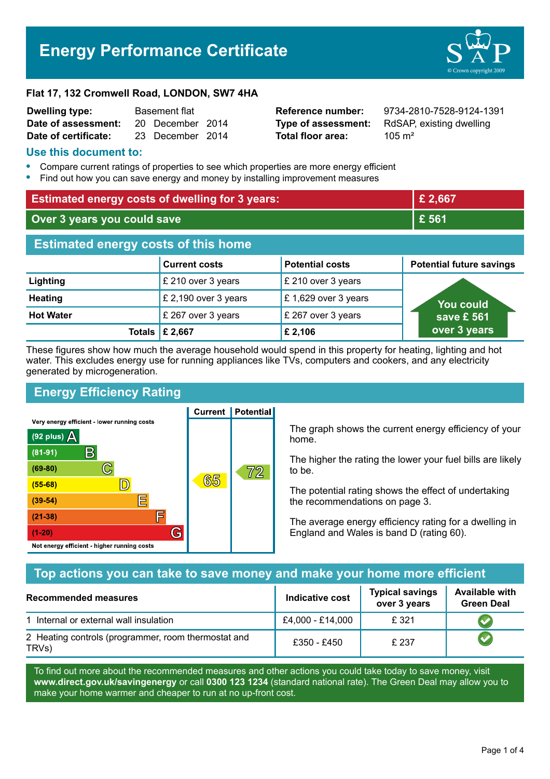# **Energy Performance Certificate**



#### **Flat 17, 132 Cromwell Road, LONDON, SW7 4HA**

| <b>Dwelling type:</b> | <b>Basement flat</b> |                  |  |
|-----------------------|----------------------|------------------|--|
| Date of assessment:   |                      | 20 December 2014 |  |
| Date of certificate:  |                      | 23 December 2014 |  |

**Total floor area:** 2015 m<sup>2</sup>

**Reference number:** 9734-2810-7528-9124-1391 **Type of assessment:** RdSAP, existing dwelling

#### **Use this document to:**

- **•** Compare current ratings of properties to see which properties are more energy efficient
- **•** Find out how you can save energy and money by installing improvement measures

| <b>Estimated energy costs of dwelling for 3 years:</b> |                                 |                        | £ 2,667                         |
|--------------------------------------------------------|---------------------------------|------------------------|---------------------------------|
| Over 3 years you could save                            |                                 | £ 561                  |                                 |
| <b>Estimated energy costs of this home</b>             |                                 |                        |                                 |
|                                                        | <b>Current costs</b>            | <b>Potential costs</b> | <b>Potential future savings</b> |
| Lighting                                               | £ 210 over 3 years              | £ 210 over 3 years     |                                 |
| <b>Heating</b>                                         | £ 2,190 over 3 years            | £ 1,629 over 3 years   | <b>You could</b>                |
| <b>Hot Water</b>                                       | £ 267 over 3 years              | £ 267 over 3 years     | save £ 561                      |
|                                                        | Totals $\mathsf{\pounds}$ 2,667 | £ 2,106                | over 3 years                    |

These figures show how much the average household would spend in this property for heating, lighting and hot water. This excludes energy use for running appliances like TVs, computers and cookers, and any electricity generated by microgeneration.

# **Energy Efficiency Rating**

Very energy efficient - lower running costs



**Current | Potential** 

The graph shows the current energy efficiency of your home.

The higher the rating the lower your fuel bills are likely to be.

The potential rating shows the effect of undertaking the recommendations on page 3.

The average energy efficiency rating for a dwelling in England and Wales is band D (rating 60).

## **Top actions you can take to save money and make your home more efficient**

| <b>Recommended measures</b>                                  | Indicative cost  | <b>Typical savings</b><br>over 3 years | <b>Available with</b><br><b>Green Deal</b> |
|--------------------------------------------------------------|------------------|----------------------------------------|--------------------------------------------|
| 1 Internal or external wall insulation                       | £4,000 - £14,000 | £321                                   |                                            |
| 2 Heating controls (programmer, room thermostat and<br>TRVs) | £350 - £450      | £237                                   |                                            |

To find out more about the recommended measures and other actions you could take today to save money, visit **www.direct.gov.uk/savingenergy** or call **0300 123 1234** (standard national rate). The Green Deal may allow you to make your home warmer and cheaper to run at no up-front cost.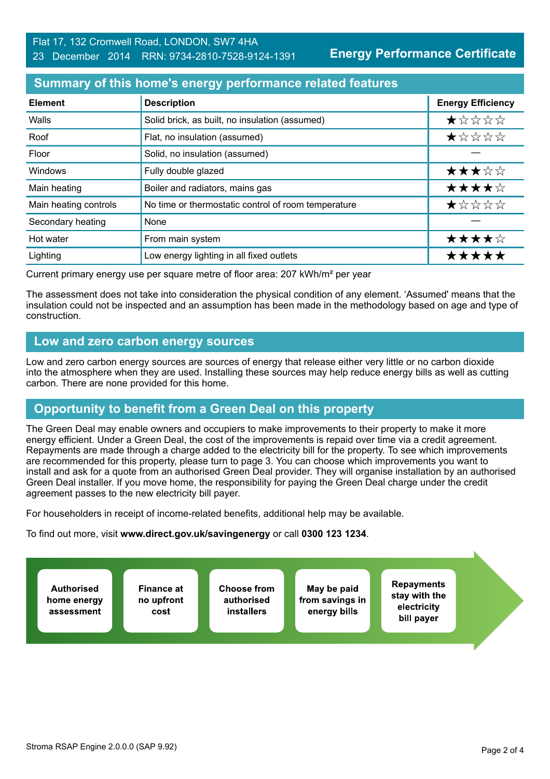**Energy Performance Certificate**

#### **Summary of this home's energy performance related features**

| <b>Element</b>        | <b>Description</b>                                  | <b>Energy Efficiency</b> |
|-----------------------|-----------------------------------------------------|--------------------------|
| Walls                 | Solid brick, as built, no insulation (assumed)      | ★☆☆☆☆                    |
| Roof                  | Flat, no insulation (assumed)                       | ★☆☆☆☆                    |
| Floor                 | Solid, no insulation (assumed)                      |                          |
| Windows               | Fully double glazed                                 | ★★★☆☆                    |
| Main heating          | Boiler and radiators, mains gas                     | ★★★★☆                    |
| Main heating controls | No time or thermostatic control of room temperature | *****                    |
| Secondary heating     | None                                                |                          |
| Hot water             | From main system                                    | ★★★★☆                    |
| Lighting              | Low energy lighting in all fixed outlets            | *****                    |

Current primary energy use per square metre of floor area: 207 kWh/m² per year

The assessment does not take into consideration the physical condition of any element. 'Assumed' means that the insulation could not be inspected and an assumption has been made in the methodology based on age and type of construction.

## **Low and zero carbon energy sources**

Low and zero carbon energy sources are sources of energy that release either very little or no carbon dioxide into the atmosphere when they are used. Installing these sources may help reduce energy bills as well as cutting carbon. There are none provided for this home.

# **Opportunity to benefit from a Green Deal on this property**

The Green Deal may enable owners and occupiers to make improvements to their property to make it more energy efficient. Under a Green Deal, the cost of the improvements is repaid over time via a credit agreement. Repayments are made through a charge added to the electricity bill for the property. To see which improvements are recommended for this property, please turn to page 3. You can choose which improvements you want to install and ask for a quote from an authorised Green Deal provider. They will organise installation by an authorised Green Deal installer. If you move home, the responsibility for paying the Green Deal charge under the credit agreement passes to the new electricity bill payer.

For householders in receipt of income-related benefits, additional help may be available.

To find out more, visit **www.direct.gov.uk/savingenergy** or call **0300 123 1234**.

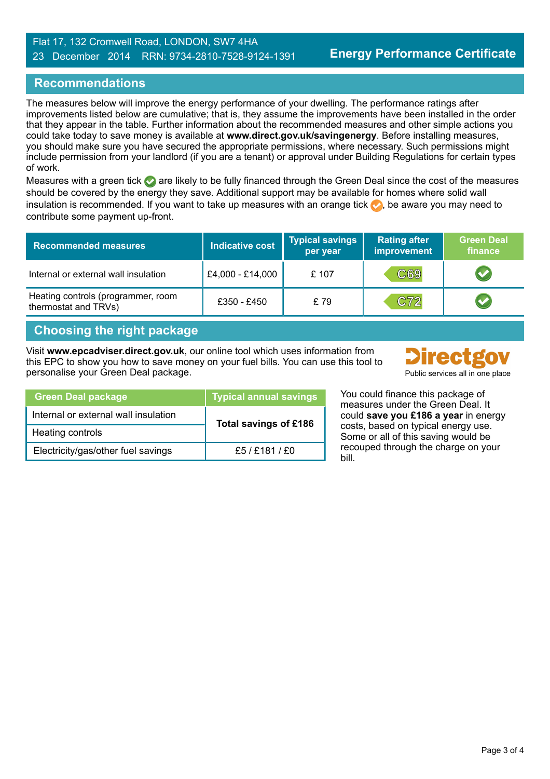#### Flat 17, 132 Cromwell Road, LONDON, SW7 4HA 23 December 2014 RRN: 9734-2810-7528-9124-1391

## **Recommendations**

The measures below will improve the energy performance of your dwelling. The performance ratings after improvements listed below are cumulative; that is, they assume the improvements have been installed in the order that they appear in the table. Further information about the recommended measures and other simple actions you could take today to save money is available at **www.direct.gov.uk/savingenergy**. Before installing measures, you should make sure you have secured the appropriate permissions, where necessary. Such permissions might include permission from your landlord (if you are a tenant) or approval under Building Regulations for certain types of work.

Measures with a green tick are likely to be fully financed through the Green Deal since the cost of the measures should be covered by the energy they save. Additional support may be available for homes where solid wall insulation is recommended. If you want to take up measures with an orange tick  $\bullet$ , be aware you may need to contribute some payment up-front.

| <b>Recommended measures</b>                                | <b>Indicative cost</b> | <b>Typical savings</b><br>per year | <b>Rating after</b><br>improvement | <b>Green Deal</b><br>finance |
|------------------------------------------------------------|------------------------|------------------------------------|------------------------------------|------------------------------|
| Internal or external wall insulation                       | £4,000 - £14,000       | £ 107                              | C69                                |                              |
| Heating controls (programmer, room<br>thermostat and TRVs) | £350 - £450            | £79                                | C72                                |                              |

## **Choosing the right package**

Visit **www.epcadviser.direct.gov.uk**, our online tool which uses information from this EPC to show you how to save money on your fuel bills. You can use this tool to personalise your Green Deal package. Public services all in one place



| <b>Green Deal package</b>            | <b>Typical annual savings</b> |  |
|--------------------------------------|-------------------------------|--|
| Internal or external wall insulation | Total savings of £186         |  |
| Heating controls                     |                               |  |
| Electricity/gas/other fuel savings   | £5 / £181 / £0                |  |

You could finance this package of measures under the Green Deal. It could **save you £186 a year** in energy costs, based on typical energy use. Some or all of this saving would be recouped through the charge on your bill.